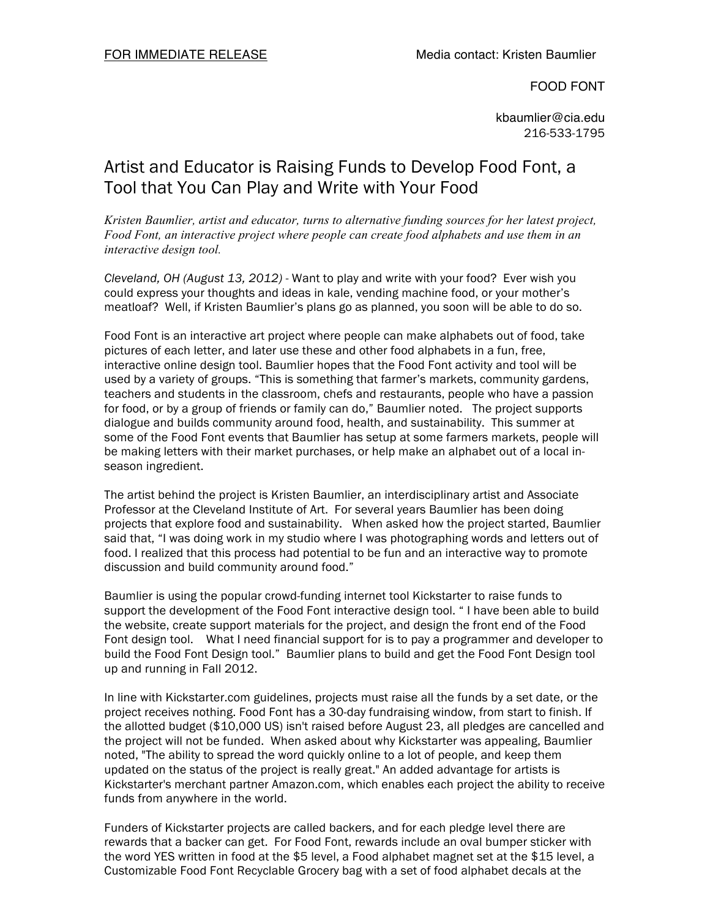FOOD FONT

kbaumlier@cia.edu 216-533-1795

## Artist and Educator is Raising Funds to Develop Food Font, a Tool that You Can Play and Write with Your Food

*Kristen Baumlier, artist and educator, turns to alternative funding sources for her latest project, Food Font, an interactive project where people can create food alphabets and use them in an interactive design tool.* 

*Cleveland, OH (August 13, 2012) -* Want to play and write with your food? Ever wish you could express your thoughts and ideas in kale, vending machine food, or your mother's meatloaf? Well, if Kristen Baumlier's plans go as planned, you soon will be able to do so.

Food Font is an interactive art project where people can make alphabets out of food, take pictures of each letter, and later use these and other food alphabets in a fun, free, interactive online design tool. Baumlier hopes that the Food Font activity and tool will be used by a variety of groups. "This is something that farmer's markets, community gardens, teachers and students in the classroom, chefs and restaurants, people who have a passion for food, or by a group of friends or family can do," Baumlier noted. The project supports dialogue and builds community around food, health, and sustainability. This summer at some of the Food Font events that Baumlier has setup at some farmers markets, people will be making letters with their market purchases, or help make an alphabet out of a local inseason ingredient.

The artist behind the project is Kristen Baumlier, an interdisciplinary artist and Associate Professor at the Cleveland Institute of Art. For several years Baumlier has been doing projects that explore food and sustainability. When asked how the project started, Baumlier said that, "I was doing work in my studio where I was photographing words and letters out of food. I realized that this process had potential to be fun and an interactive way to promote discussion and build community around food."

Baumlier is using the popular crowd-funding internet tool Kickstarter to raise funds to support the development of the Food Font interactive design tool. " I have been able to build the website, create support materials for the project, and design the front end of the Food Font design tool. What I need financial support for is to pay a programmer and developer to build the Food Font Design tool." Baumlier plans to build and get the Food Font Design tool up and running in Fall 2012.

In line with Kickstarter.com guidelines, projects must raise all the funds by a set date, or the project receives nothing. Food Font has a 30-day fundraising window, from start to finish. If the allotted budget (\$10,000 US) isn't raised before August 23, all pledges are cancelled and the project will not be funded. When asked about why Kickstarter was appealing, Baumlier noted, "The ability to spread the word quickly online to a lot of people, and keep them updated on the status of the project is really great." An added advantage for artists is Kickstarter's merchant partner Amazon.com, which enables each project the ability to receive funds from anywhere in the world.

Funders of Kickstarter projects are called backers, and for each pledge level there are rewards that a backer can get. For Food Font, rewards include an oval bumper sticker with the word YES written in food at the \$5 level, a Food alphabet magnet set at the \$15 level, a Customizable Food Font Recyclable Grocery bag with a set of food alphabet decals at the